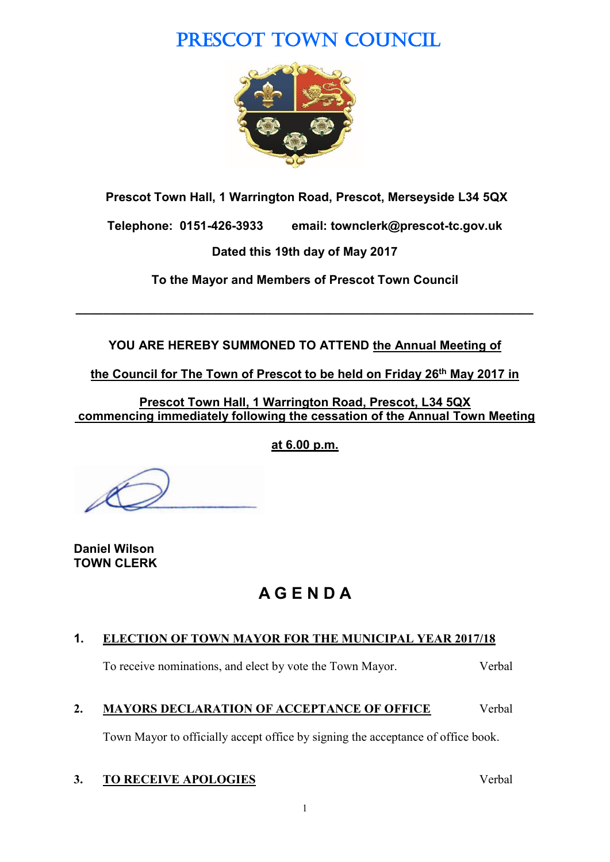# PRESCOT TOWN COUNCIL



**Prescot Town Hall, 1 Warrington Road, Prescot, Merseyside L34 5QX**

**Telephone: 0151-426-3933 email: townclerk@prescot-tc.gov.uk**

**Dated this 19th day of May 2017**

**To the Mayor and Members of Prescot Town Council**

**\_\_\_\_\_\_\_\_\_\_\_\_\_\_\_\_\_\_\_\_\_\_\_\_\_\_\_\_\_\_\_\_\_\_\_\_\_\_\_\_\_\_\_\_\_\_\_\_\_\_\_\_\_\_\_\_\_\_\_\_\_\_\_\_\_\_\_**

**YOU ARE HEREBY SUMMONED TO ATTEND the Annual Meeting of** 

**the Council for The Town of Prescot to be held on Friday 26th May 2017 in** 

**Prescot Town Hall, 1 Warrington Road, Prescot, L34 5QX commencing immediately following the cessation of the Annual Town Meeting**

**at 6.00 p.m.**

**Daniel Wilson TOWN CLERK**

# **A G E N D A**

## **1. ELECTION OF TOWN MAYOR FOR THE MUNICIPAL YEAR 2017/18**

To receive nominations, and elect by vote the Town Mayor. Verbal

## **2. MAYORS DECLARATION OF ACCEPTANCE OF OFFICE** Verbal

Town Mayor to officially accept office by signing the acceptance of office book.

## **3. TO RECEIVE APOLOGIES** Verbal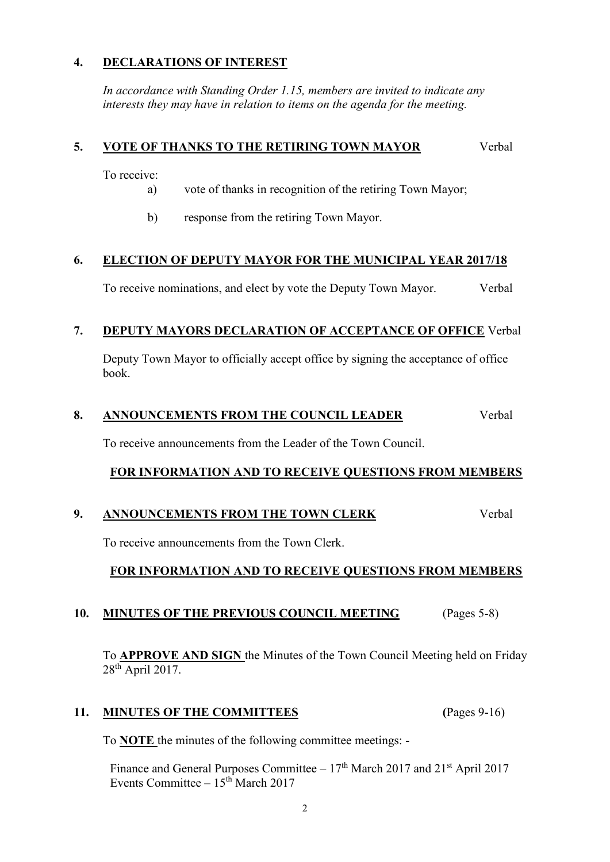## **4. DECLARATIONS OF INTEREST**

*In accordance with Standing Order 1.15, members are invited to indicate any interests they may have in relation to items on the agenda for the meeting.*

## **5. VOTE OF THANKS TO THE RETIRING TOWN MAYOR** Verbal

To receive:

- a) vote of thanks in recognition of the retiring Town Mayor;
- b) response from the retiring Town Mayor.

## **6. ELECTION OF DEPUTY MAYOR FOR THE MUNICIPAL YEAR 2017/18**

To receive nominations, and elect by vote the Deputy Town Mayor. Verbal

## **7. DEPUTY MAYORS DECLARATION OF ACCEPTANCE OF OFFICE** Verbal

Deputy Town Mayor to officially accept office by signing the acceptance of office book.

## 8. ANNOUNCEMENTS FROM THE COUNCIL LEADER Verbal

To receive announcements from the Leader of the Town Council.

## **FOR INFORMATION AND TO RECEIVE QUESTIONS FROM MEMBERS**

## **9. ANNOUNCEMENTS FROM THE TOWN CLERK** Verbal

To receive announcements from the Town Clerk.

## **FOR INFORMATION AND TO RECEIVE QUESTIONS FROM MEMBERS**

## **10. MINUTES OF THE PREVIOUS COUNCIL MEETING** (Pages 5-8)

To **APPROVE AND SIGN** the Minutes of the Town Council Meeting held on Friday 28<sup>th</sup> April 2017.

## **11. MINUTES OF THE COMMITTEES (**Pages 9-16)

To **NOTE** the minutes of the following committee meetings: -

Finance and General Purposes Committee –  $17<sup>th</sup>$  March 2017 and  $21<sup>st</sup>$  April 2017 Events Committee  $-15<sup>th</sup>$  March 2017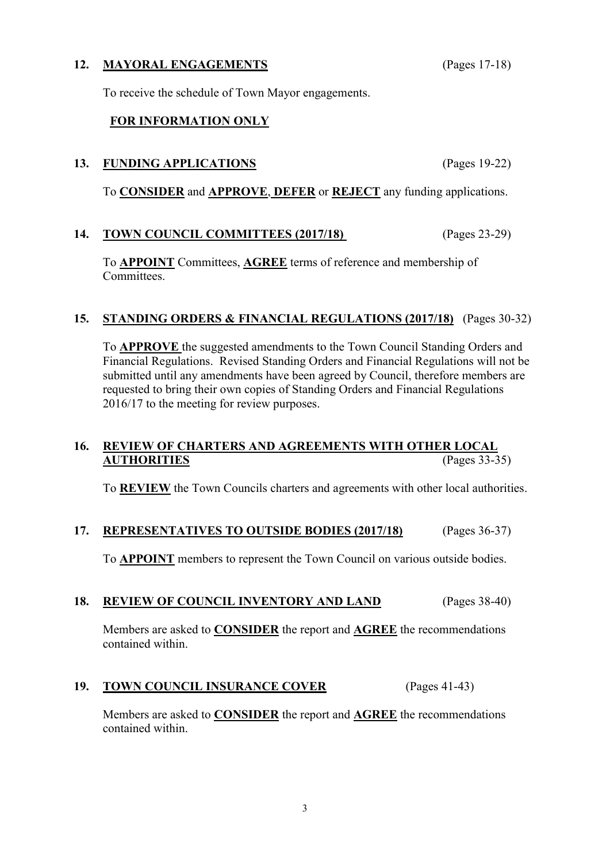## To receive the schedule of Town Mayor engagements.

#### **FOR INFORMATION ONLY**

#### **13. FUNDING APPLICATIONS** (Pages 19-22)

To **CONSIDER** and **APPROVE**, **DEFER** or **REJECT** any funding applications.

#### **14. TOWN COUNCIL COMMITTEES (2017/18)** (Pages 23-29)

To **APPOINT** Committees, **AGREE** terms of reference and membership of **Committees** 

#### **15. STANDING ORDERS & FINANCIAL REGULATIONS (2017/18)** (Pages 30-32)

To **APPROVE** the suggested amendments to the Town Council Standing Orders and Financial Regulations. Revised Standing Orders and Financial Regulations will not be submitted until any amendments have been agreed by Council, therefore members are requested to bring their own copies of Standing Orders and Financial Regulations 2016/17 to the meeting for review purposes.

## **16. REVIEW OF CHARTERS AND AGREEMENTS WITH OTHER LOCAL AUTHORITIES** (Pages 33-35)

To **REVIEW** the Town Councils charters and agreements with other local authorities.

#### **17. REPRESENTATIVES TO OUTSIDE BODIES (2017/18)** (Pages 36-37)

To **APPOINT** members to represent the Town Council on various outside bodies.

### **18. REVIEW OF COUNCIL INVENTORY AND LAND** (Pages 38-40)

Members are asked to **CONSIDER** the report and **AGREE** the recommendations contained within.

#### **19. TOWN COUNCIL INSURANCE COVER** (Pages 41-43)

Members are asked to **CONSIDER** the report and **AGREE** the recommendations contained within.

**12. MAYORAL ENGAGEMENTS** (Pages 17-18)